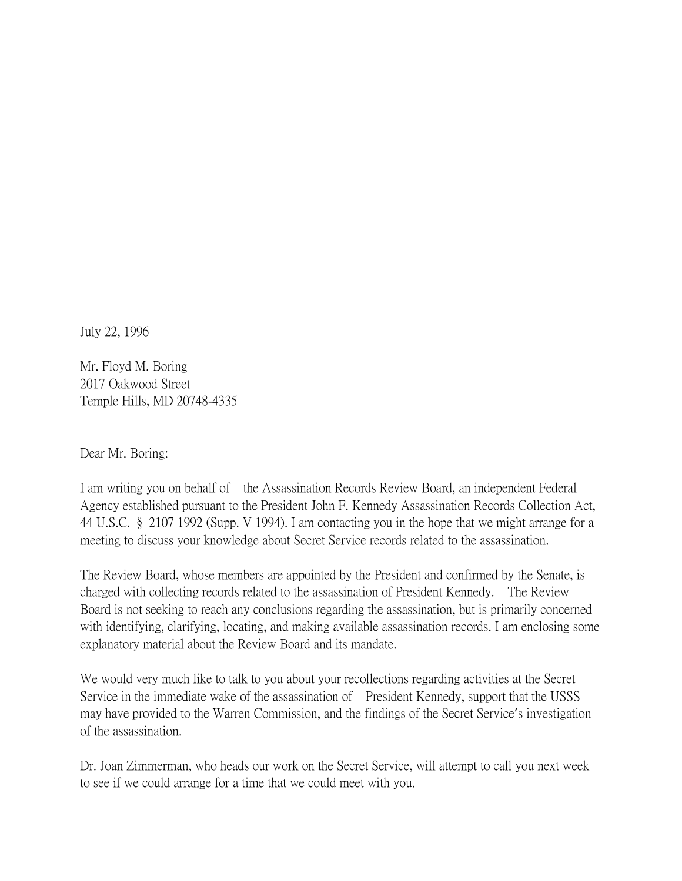July 22, 1996

Mr. Floyd M. Boring 2017 Oakwood Street Temple Hills, MD 20748-4335

Dear Mr. Boring:

I am writing you on behalf of the Assassination Records Review Board, an independent Federal Agency established pursuant to the President John F. Kennedy Assassination Records Collection Act, 44 U.S.C. § 2107 1992 (Supp. V 1994). I am contacting you in the hope that we might arrange for a meeting to discuss your knowledge about Secret Service records related to the assassination.

The Review Board, whose members are appointed by the President and confirmed by the Senate, is charged with collecting records related to the assassination of President Kennedy. The Review Board is not seeking to reach any conclusions regarding the assassination, but is primarily concerned with identifying, clarifying, locating, and making available assassination records. I am enclosing some explanatory material about the Review Board and its mandate.

We would very much like to talk to you about your recollections regarding activities at the Secret Service in the immediate wake of the assassination of President Kennedy, support that the USSS may have provided to the Warren Commission, and the findings of the Secret Service's investigation of the assassination.

Dr. Joan Zimmerman, who heads our work on the Secret Service, will attempt to call you next week to see if we could arrange for a time that we could meet with you.